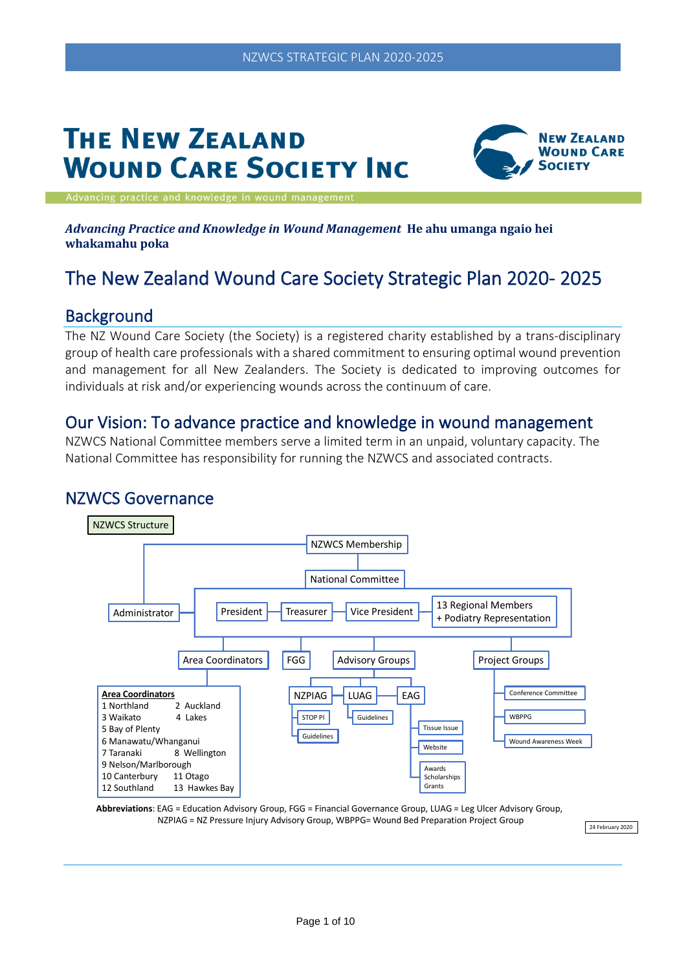# **THE NEW ZEALAND WOUND CARE SOCIETY INC**



ancing practice and knowledge in wound m

#### *Advancing Practice and Knowledge in Wound Management* **He ahu umanga ngaio hei whakamahu poka**

# The New Zealand Wound Care Society Strategic Plan 2020- 2025

#### **Background**

The NZ Wound Care Society (the Society) is a registered charity established by a trans-disciplinary group of health care professionals with a shared commitment to ensuring optimal wound prevention and management for all New Zealanders. The Society is dedicated to improving outcomes for individuals at risk and/or experiencing wounds across the continuum of care.

#### Our Vision: To advance practice and knowledge in wound management

NZWCS National Committee members serve a limited term in an unpaid, voluntary capacity. The National Committee has responsibility for running the NZWCS and associated contracts.

#### NZWCS Governance





24 February 2020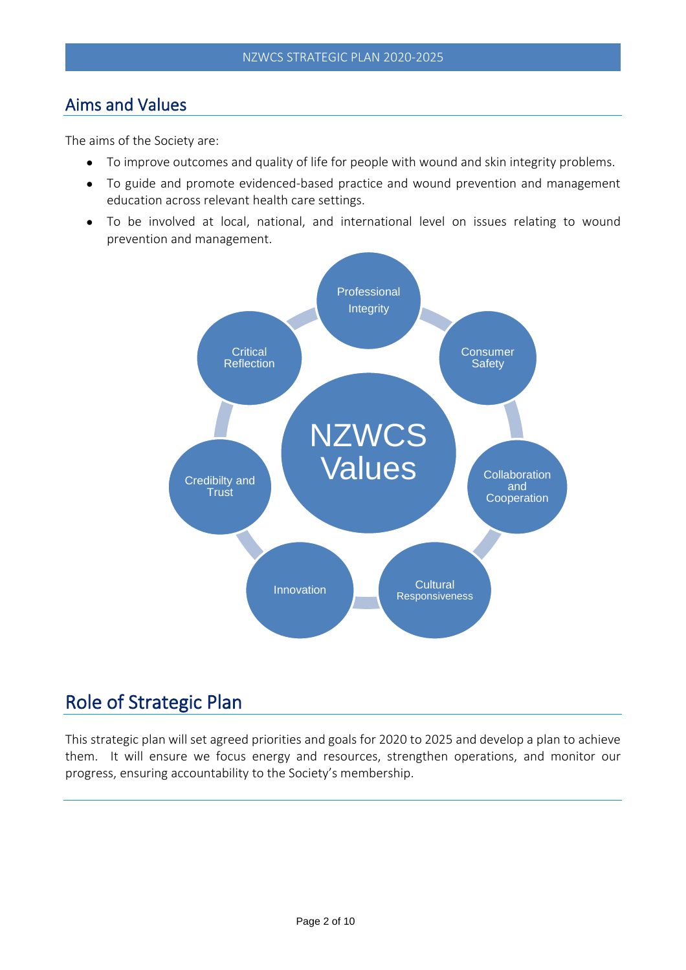#### Aims and Values

The aims of the Society are:

- To improve outcomes and quality of life for people with wound and skin integrity problems.
- To guide and promote evidenced-based practice and wound prevention and management education across relevant health care settings.
- To be involved at local, national, and international level on issues relating to wound prevention and management.



### Role of Strategic Plan

This strategic plan will set agreed priorities and goals for 2020 to 2025 and develop a plan to achieve them. It will ensure we focus energy and resources, strengthen operations, and monitor our progress, ensuring accountability to the Society's membership.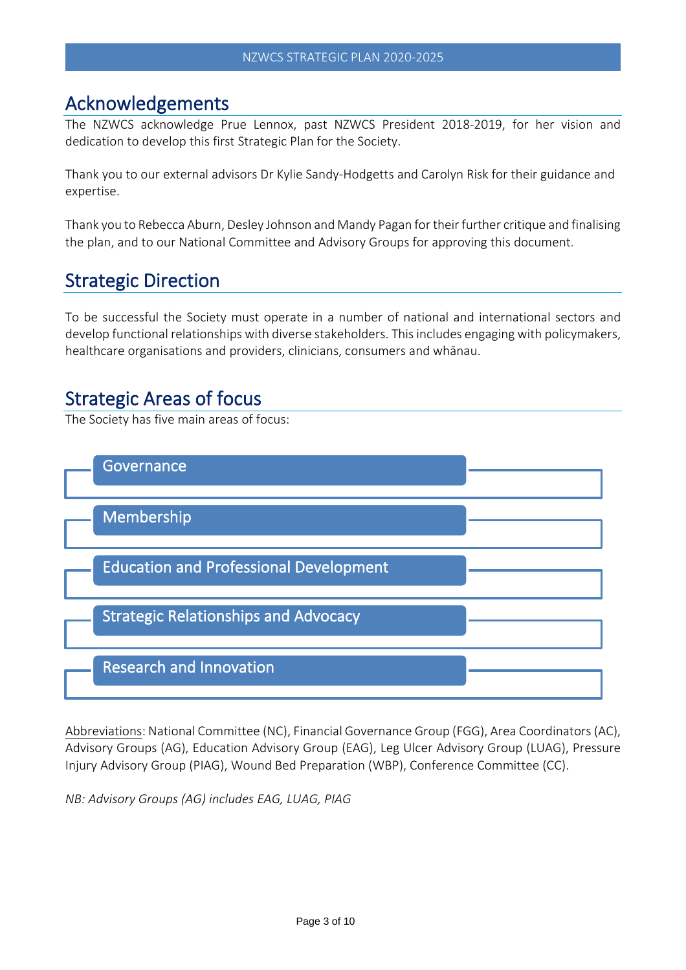#### Acknowledgements

The NZWCS acknowledge Prue Lennox, past NZWCS President 2018-2019, for her vision and dedication to develop this first Strategic Plan for the Society.

Thank you to our external advisors Dr Kylie Sandy-Hodgetts and Carolyn Risk for their guidance and expertise.

Thank you to Rebecca Aburn, Desley Johnson and Mandy Pagan for their further critique and finalising the plan, and to our National Committee and Advisory Groups for approving this document.

### Strategic Direction

To be successful the Society must operate in a number of national and international sectors and develop functional relationships with diverse stakeholders. Thisincludes engaging with policymakers, healthcare organisations and providers, clinicians, consumers and whānau.

### Strategic Areas of focus

The Society has five main areas of focus:



Abbreviations: National Committee (NC), Financial Governance Group (FGG), Area Coordinators (AC), Advisory Groups (AG), Education Advisory Group (EAG), Leg Ulcer Advisory Group (LUAG), Pressure Injury Advisory Group (PIAG), Wound Bed Preparation (WBP), Conference Committee (CC).

*NB: Advisory Groups (AG) includes EAG, LUAG, PIAG*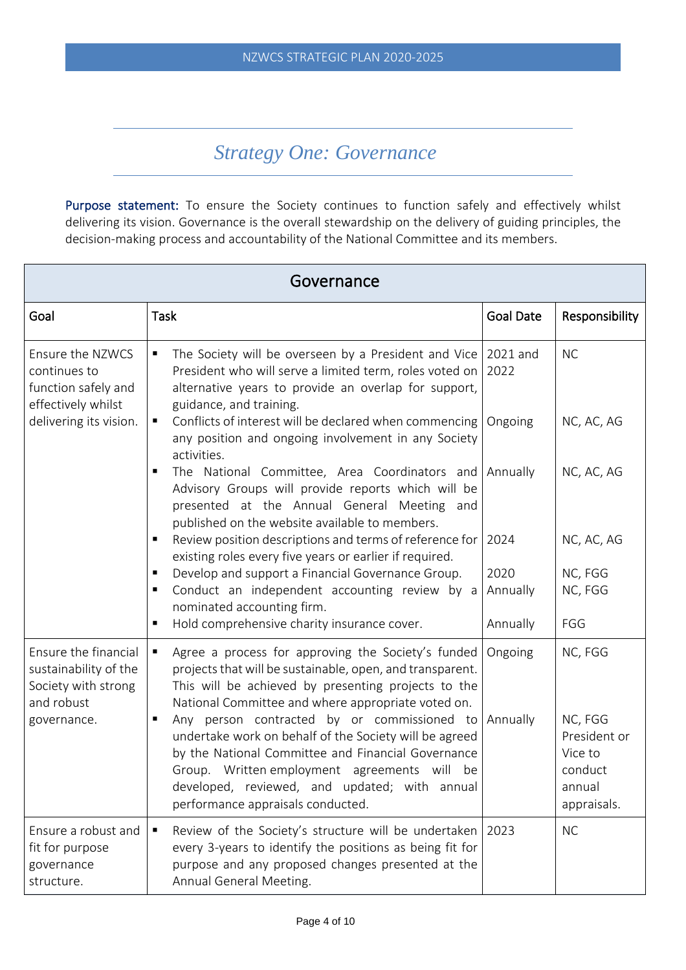### *Strategy One: Governance*

Purpose statement: To ensure the Society continues to function safely and effectively whilst delivering its vision. Governance is the overall stewardship on the delivery of guiding principles, the decision-making process and accountability of the National Committee and its members.

| Governance                                                                         |                                                                                                                                                                                                                                                                                                            |                  |                                                                        |
|------------------------------------------------------------------------------------|------------------------------------------------------------------------------------------------------------------------------------------------------------------------------------------------------------------------------------------------------------------------------------------------------------|------------------|------------------------------------------------------------------------|
| Goal                                                                               | <b>Task</b>                                                                                                                                                                                                                                                                                                | <b>Goal Date</b> | Responsibility                                                         |
| Ensure the NZWCS<br>continues to<br>function safely and<br>effectively whilst      | The Society will be overseen by a President and Vice<br>$\blacksquare$<br>President who will serve a limited term, roles voted on<br>alternative years to provide an overlap for support,<br>guidance, and training.                                                                                       | 2021 and<br>2022 | <b>NC</b>                                                              |
| delivering its vision.                                                             | Conflicts of interest will be declared when commencing<br>$\blacksquare$<br>any position and ongoing involvement in any Society<br>activities.                                                                                                                                                             | Ongoing          | NC, AC, AG                                                             |
|                                                                                    | The National Committee, Area Coordinators and Annually<br>٠<br>Advisory Groups will provide reports which will be<br>presented at the Annual General Meeting and<br>published on the website available to members.                                                                                         |                  | NC, AC, AG                                                             |
|                                                                                    | Review position descriptions and terms of reference for<br>п<br>existing roles every five years or earlier if required.                                                                                                                                                                                    | 2024             | NC, AC, AG                                                             |
|                                                                                    | Develop and support a Financial Governance Group.<br>Conduct an independent accounting review by a<br>nominated accounting firm.                                                                                                                                                                           | 2020<br>Annually | NC, FGG<br>NC, FGG                                                     |
|                                                                                    | Hold comprehensive charity insurance cover.                                                                                                                                                                                                                                                                | Annually         | FGG                                                                    |
| Ensure the financial<br>sustainability of the<br>Society with strong<br>and robust | Agree a process for approving the Society's funded<br>projects that will be sustainable, open, and transparent.<br>This will be achieved by presenting projects to the<br>National Committee and where appropriate voted on.                                                                               | Ongoing          | NC, FGG                                                                |
| governance.                                                                        | Any person contracted by or commissioned to Annually<br>undertake work on behalf of the Society will be agreed<br>by the National Committee and Financial Governance<br>Group. Written employment agreements will be<br>developed, reviewed, and updated; with annual<br>performance appraisals conducted. |                  | NC, FGG<br>President or<br>Vice to<br>conduct<br>annual<br>appraisals. |
| Ensure a robust and<br>fit for purpose<br>governance<br>structure.                 | Review of the Society's structure will be undertaken   2023<br>every 3-years to identify the positions as being fit for<br>purpose and any proposed changes presented at the<br>Annual General Meeting.                                                                                                    |                  | <b>NC</b>                                                              |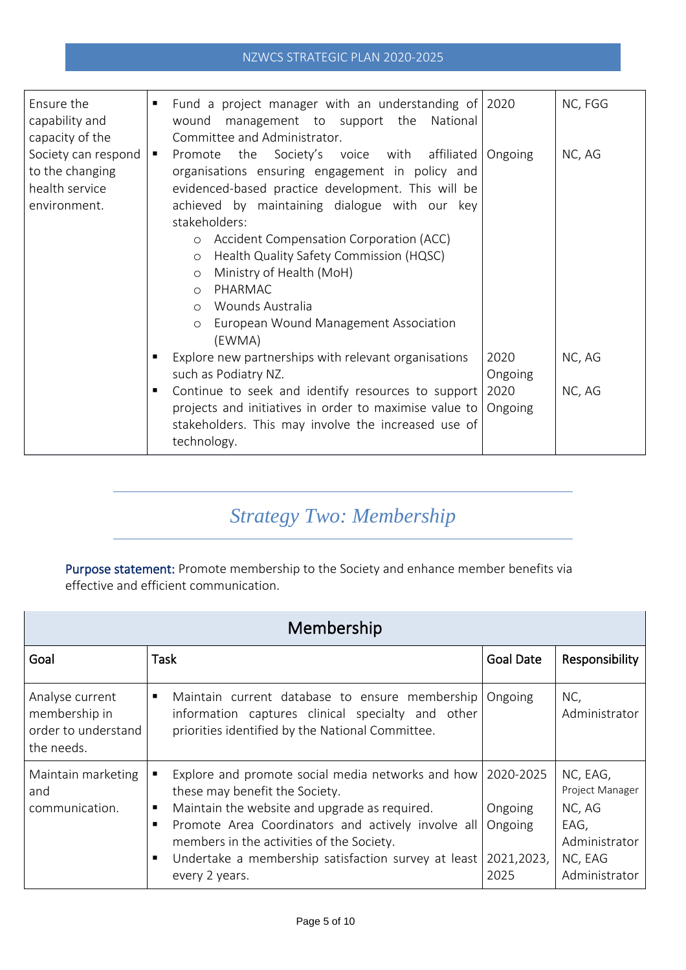#### NZWCS STRATEGIC PLAN 2020-2025

| Ensure the<br>capability and<br>capacity of the                          | Fund a project manager with an understanding of 2020<br>management to support the<br>wound<br>National<br>Committee and Administrator.                                                                                                                                                                                                                                                                                                                                                                   |                                    | NC, FGG          |
|--------------------------------------------------------------------------|----------------------------------------------------------------------------------------------------------------------------------------------------------------------------------------------------------------------------------------------------------------------------------------------------------------------------------------------------------------------------------------------------------------------------------------------------------------------------------------------------------|------------------------------------|------------------|
| Society can respond<br>to the changing<br>health service<br>environment. | Promote the Society's voice with<br>affiliated<br>$\blacksquare$<br>organisations ensuring engagement in policy and<br>evidenced-based practice development. This will be<br>achieved by maintaining dialogue with our key<br>stakeholders:<br>Accident Compensation Corporation (ACC)<br>$\circ$<br>Health Quality Safety Commission (HQSC)<br>$\circ$<br>Ministry of Health (MoH)<br>$\circ$<br>PHARMAC<br>$\Omega$<br>Wounds Australia<br>$\circ$<br>European Wound Management Association<br>$\circ$ | Ongoing                            | NC, AG           |
|                                                                          | (EWMA)<br>Explore new partnerships with relevant organisations<br>such as Podiatry NZ.<br>Continue to seek and identify resources to support<br>п.<br>projects and initiatives in order to maximise value to<br>stakeholders. This may involve the increased use of<br>technology.                                                                                                                                                                                                                       | 2020<br>Ongoing<br>2020<br>Ongoing | NC, AG<br>NC, AG |

# *Strategy Two: Membership*

Purpose statement: Promote membership to the Society and enhance member benefits via effective and efficient communication.

| Membership                                                            |                                                                                                                                                                                                                                                                                                                                         |                                          |                                                                                            |
|-----------------------------------------------------------------------|-----------------------------------------------------------------------------------------------------------------------------------------------------------------------------------------------------------------------------------------------------------------------------------------------------------------------------------------|------------------------------------------|--------------------------------------------------------------------------------------------|
| Goal                                                                  | Task                                                                                                                                                                                                                                                                                                                                    | <b>Goal Date</b>                         | Responsibility                                                                             |
| Analyse current<br>membership in<br>order to understand<br>the needs. | Maintain current database to ensure membership<br>٠<br>information captures clinical specialty and other<br>priorities identified by the National Committee.                                                                                                                                                                            | Ongoing                                  | NC,<br>Administrator                                                                       |
| Maintain marketing<br>and<br>communication.                           | Explore and promote social media networks and how   2020-2025<br>these may benefit the Society.<br>Maintain the website and upgrade as required.<br>Promote Area Coordinators and actively involve all<br>٠<br>members in the activities of the Society.<br>Undertake a membership satisfaction survey at least<br>п.<br>every 2 years. | Ongoing<br>Ongoing<br>2021,2023,<br>2025 | NC, EAG,<br>Project Manager<br>NC, AG<br>EAG,<br>Administrator<br>NC, EAG<br>Administrator |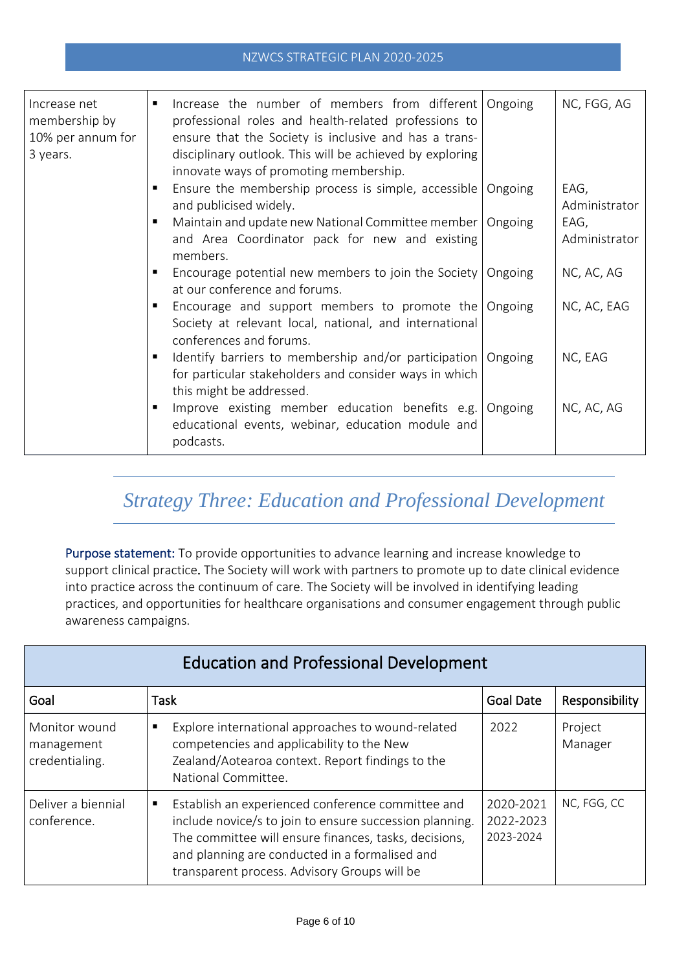#### NZWCS STRATEGIC PLAN 2020-2025

| Increase net<br>membership by<br>10% per annum for<br>3 years. | Increase the number of members from different   Ongoing<br>professional roles and health-related professions to<br>ensure that the Society is inclusive and has a trans-<br>disciplinary outlook. This will be achieved by exploring<br>innovate ways of promoting membership. |         | NC, FGG, AG           |
|----------------------------------------------------------------|--------------------------------------------------------------------------------------------------------------------------------------------------------------------------------------------------------------------------------------------------------------------------------|---------|-----------------------|
|                                                                | Ensure the membership process is simple, accessible<br>and publicised widely.                                                                                                                                                                                                  | Ongoing | EAG,<br>Administrator |
|                                                                | Maintain and update new National Committee member<br>and Area Coordinator pack for new and existing<br>members.                                                                                                                                                                | Ongoing | EAG,<br>Administrator |
|                                                                | Encourage potential new members to join the Society<br>٠<br>at our conference and forums.                                                                                                                                                                                      | Ongoing | NC, AC, AG            |
|                                                                | Encourage and support members to promote the Ongoing<br>٠<br>Society at relevant local, national, and international<br>conferences and forums.                                                                                                                                 |         | NC, AC, EAG           |
|                                                                | Identify barriers to membership and/or participation<br>for particular stakeholders and consider ways in which<br>this might be addressed.                                                                                                                                     | Ongoing | NC, EAG               |
|                                                                | Improve existing member education benefits e.g.<br>п<br>educational events, webinar, education module and<br>podcasts.                                                                                                                                                         | Ongoing | NC, AC, AG            |

### *Strategy Three: Education and Professional Development*

Purpose statement: To provide opportunities to advance learning and increase knowledge to support clinical practice. The Society will work with partners to promote up to date clinical evidence into practice across the continuum of care. The Society will be involved in identifying leading practices, and opportunities for healthcare organisations and consumer engagement through public awareness campaigns.

| <b>Education and Professional Development</b> |                                                                                                                                                                                                                                                                                           |                                     |                    |
|-----------------------------------------------|-------------------------------------------------------------------------------------------------------------------------------------------------------------------------------------------------------------------------------------------------------------------------------------------|-------------------------------------|--------------------|
| Goal                                          | Task                                                                                                                                                                                                                                                                                      | <b>Goal Date</b>                    | Responsibility     |
| Monitor wound<br>management<br>credentialing. | Explore international approaches to wound-related<br>п<br>competencies and applicability to the New<br>Zealand/Aotearoa context. Report findings to the<br>National Committee.                                                                                                            | 2022                                | Project<br>Manager |
| Deliver a biennial<br>conference.             | Establish an experienced conference committee and<br>$\blacksquare$<br>include novice/s to join to ensure succession planning.<br>The committee will ensure finances, tasks, decisions,<br>and planning are conducted in a formalised and<br>transparent process. Advisory Groups will be | 2020-2021<br>2022-2023<br>2023-2024 | NC, FGG, CC        |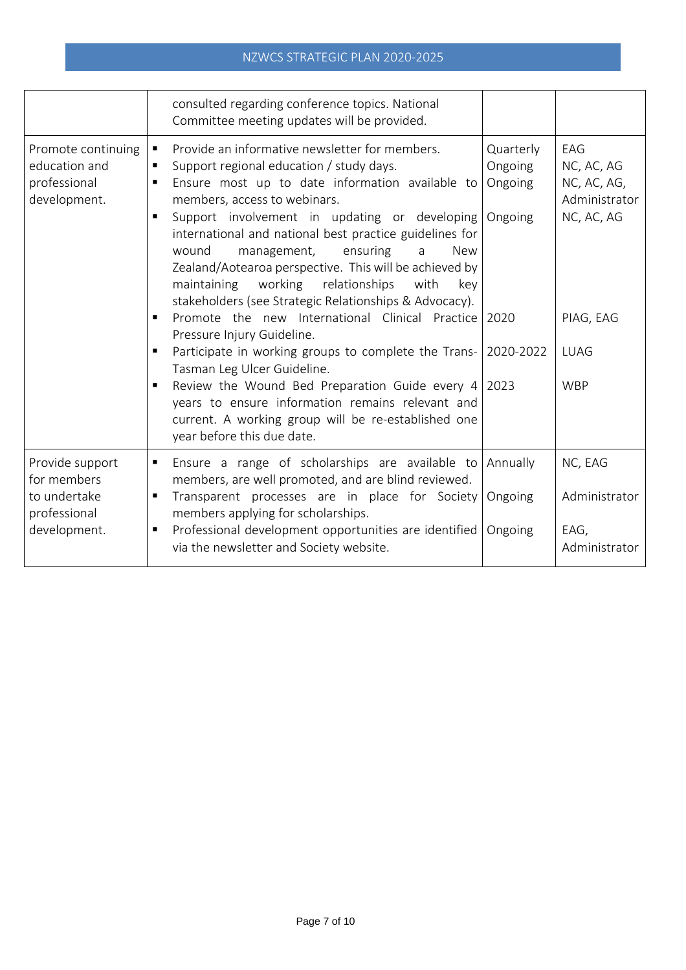|                                                                                | consulted regarding conference topics. National<br>Committee meeting updates will be provided.                                                                                                                                                                                                                                                                                                                                                                                                                                                                                                                                                                                                                                                                                                                                                                                                                                    |                                                         |                                                                                                           |
|--------------------------------------------------------------------------------|-----------------------------------------------------------------------------------------------------------------------------------------------------------------------------------------------------------------------------------------------------------------------------------------------------------------------------------------------------------------------------------------------------------------------------------------------------------------------------------------------------------------------------------------------------------------------------------------------------------------------------------------------------------------------------------------------------------------------------------------------------------------------------------------------------------------------------------------------------------------------------------------------------------------------------------|---------------------------------------------------------|-----------------------------------------------------------------------------------------------------------|
| Promote continuing<br>education and<br>professional<br>development.            | Provide an informative newsletter for members.<br>$\blacksquare$<br>Support regional education / study days.<br>٠<br>Ensure most up to date information available to<br>٠<br>members, access to webinars.<br>Support involvement in updating or developing<br>international and national best practice guidelines for<br>wound<br>management,<br>ensuring<br><b>New</b><br>a<br>Zealand/Aotearoa perspective. This will be achieved by<br>maintaining working relationships<br>with<br>key<br>stakeholders (see Strategic Relationships & Advocacy).<br>Promote the new International Clinical Practice 2020<br>Pressure Injury Guideline.<br>Participate in working groups to complete the Trans-<br>Tasman Leg Ulcer Guideline.<br>Review the Wound Bed Preparation Guide every 4 2023<br>years to ensure information remains relevant and<br>current. A working group will be re-established one<br>year before this due date. | Quarterly<br>Ongoing<br>Ongoing<br>Ongoing<br>2020-2022 | EAG<br>NC, AC, AG<br>NC, AC, AG,<br>Administrator<br>NC, AC, AG<br>PIAG, EAG<br><b>LUAG</b><br><b>WBP</b> |
| Provide support<br>for members<br>to undertake<br>professional<br>development. | Ensure a range of scholarships are available to<br>п<br>members, are well promoted, and are blind reviewed.<br>Transparent processes are in place for Society<br>$\blacksquare$<br>members applying for scholarships.<br>Professional development opportunities are identified<br>via the newsletter and Society website.                                                                                                                                                                                                                                                                                                                                                                                                                                                                                                                                                                                                         | Annually<br>Ongoing<br>Ongoing                          | NC, EAG<br>Administrator<br>EAG,<br>Administrator                                                         |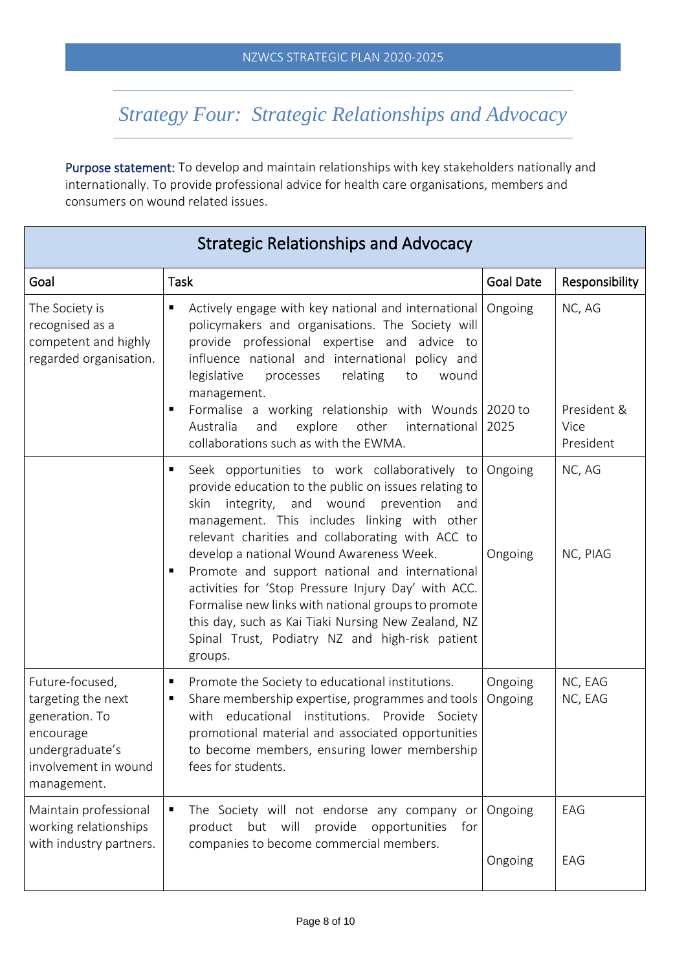## *Strategy Four: Strategic Relationships and Advocacy*

Purpose statement: To develop and maintain relationships with key stakeholders nationally and internationally. To provide professional advice for health care organisations, members and consumers on wound related issues.

| <b>Strategic Relationships and Advocacy</b>                                                                                    |                                                                                                                                                                                                                                                                                                                                    |                    |                                  |
|--------------------------------------------------------------------------------------------------------------------------------|------------------------------------------------------------------------------------------------------------------------------------------------------------------------------------------------------------------------------------------------------------------------------------------------------------------------------------|--------------------|----------------------------------|
| Goal                                                                                                                           | <b>Task</b>                                                                                                                                                                                                                                                                                                                        | <b>Goal Date</b>   | Responsibility                   |
| The Society is<br>recognised as a<br>competent and highly<br>regarded organisation.                                            | Actively engage with key national and international<br>policymakers and organisations. The Society will<br>provide professional expertise and advice to<br>influence national and international policy and<br>legislative<br>processes<br>relating<br>to<br>wound<br>management.                                                   | Ongoing            | NC, AG                           |
|                                                                                                                                | Formalise a working relationship with Wounds 2020 to<br>٠<br>other<br>and<br>explore<br>international<br>Australia<br>collaborations such as with the EWMA.                                                                                                                                                                        | 2025               | President &<br>Vice<br>President |
|                                                                                                                                | Seek opportunities to work collaboratively to<br>٠<br>provide education to the public on issues relating to<br>integrity, and wound<br>skin<br>prevention<br>and<br>management. This includes linking with other<br>relevant charities and collaborating with ACC to                                                               | Ongoing            | NC, AG                           |
|                                                                                                                                | develop a national Wound Awareness Week.<br>Promote and support national and international<br>п<br>activities for 'Stop Pressure Injury Day' with ACC.<br>Formalise new links with national groups to promote<br>this day, such as Kai Tiaki Nursing New Zealand, NZ<br>Spinal Trust, Podiatry NZ and high-risk patient<br>groups. | Ongoing            | NC, PIAG                         |
| Future-focused,<br>targeting the next<br>generation. To<br>encourage<br>undergraduate's<br>involvement in wound<br>management. | Promote the Society to educational institutions.<br>п<br>Share membership expertise, programmes and tools<br>п<br>with educational institutions. Provide Society<br>promotional material and associated opportunities<br>to become members, ensuring lower membership<br>fees for students.                                        | Ongoing<br>Ongoing | NC, EAG<br>NC, EAG               |
| Maintain professional<br>working relationships<br>with industry partners.                                                      | The Society will not endorse any company or<br>product but will provide<br>opportunities<br>for<br>companies to become commercial members.                                                                                                                                                                                         | Ongoing            | EAG                              |
|                                                                                                                                |                                                                                                                                                                                                                                                                                                                                    | Ongoing            | EAG                              |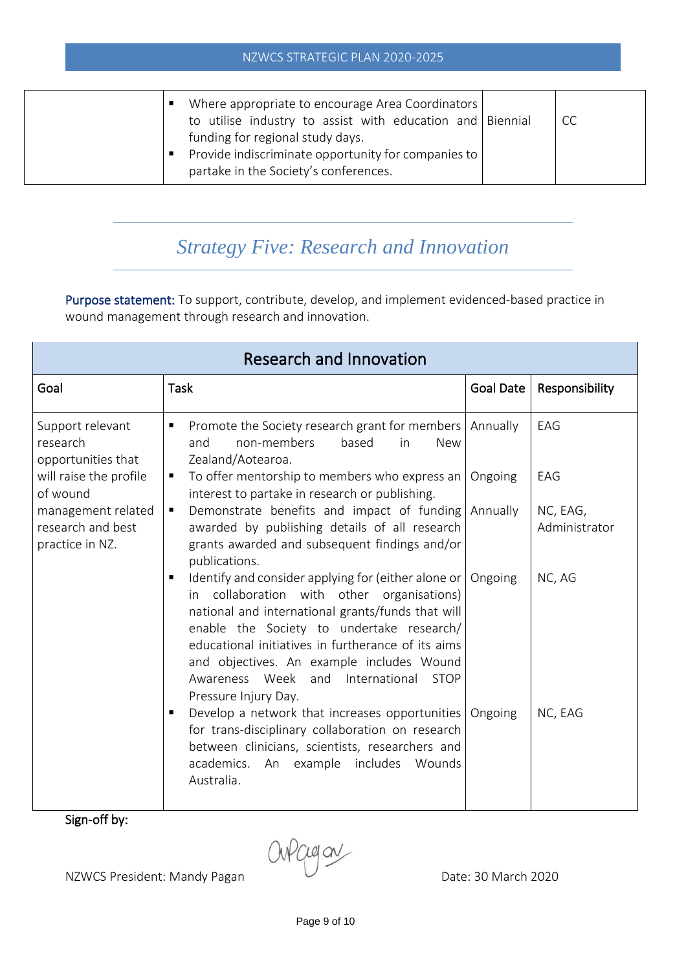| Where appropriate to encourage Area Coordinators<br>to utilise industry to assist with education and Biennial<br>funding for regional study days.<br>Provide indiscriminate opportunity for companies to<br>partake in the Society's conferences. |  | <b>CC</b> |
|---------------------------------------------------------------------------------------------------------------------------------------------------------------------------------------------------------------------------------------------------|--|-----------|
|---------------------------------------------------------------------------------------------------------------------------------------------------------------------------------------------------------------------------------------------------|--|-----------|

### *Strategy Five: Research and Innovation*

Purpose statement: To support, contribute, develop, and implement evidenced-based practice in wound management through research and innovation.

| <b>Research and Innovation</b>                             |                                                                                                                                                                                                                                                                                                                                                                                                      |                  |                           |
|------------------------------------------------------------|------------------------------------------------------------------------------------------------------------------------------------------------------------------------------------------------------------------------------------------------------------------------------------------------------------------------------------------------------------------------------------------------------|------------------|---------------------------|
| Goal                                                       | <b>Task</b>                                                                                                                                                                                                                                                                                                                                                                                          | <b>Goal Date</b> | Responsibility            |
| Support relevant<br>research<br>opportunities that         | Promote the Society research grant for members<br>п<br>non-members<br>based<br>and<br>in<br><b>New</b><br>Zealand/Aotearoa.                                                                                                                                                                                                                                                                          | Annually         | EAG                       |
| will raise the profile<br>of wound                         | To offer mentorship to members who express an<br>interest to partake in research or publishing.                                                                                                                                                                                                                                                                                                      | Ongoing          | EAG                       |
| management related<br>research and best<br>practice in NZ. | Demonstrate benefits and impact of funding Annually<br>п<br>awarded by publishing details of all research<br>grants awarded and subsequent findings and/or<br>publications.                                                                                                                                                                                                                          |                  | NC, EAG,<br>Administrator |
|                                                            | Identify and consider applying for (either alone or   Ongoing<br>п<br>collaboration with other organisations)<br>in.<br>national and international grants/funds that will<br>enable the Society to undertake research/<br>educational initiatives in furtherance of its aims<br>and objectives. An example includes Wound<br>Awareness Week and International<br><b>STOP</b><br>Pressure Injury Day. |                  | NC, AG                    |
| $\ddot{\phantom{1}}$<br>cc 1                               | Develop a network that increases opportunities   Ongoing<br>п<br>for trans-disciplinary collaboration on research<br>between clinicians, scientists, researchers and<br>academics.<br>includes<br>Wounds<br>An example<br>Australia.                                                                                                                                                                 |                  | NC, EAG                   |

Sign-off by:

NZWCS President: Mandy Pagan Dull Date: 30 March 2020